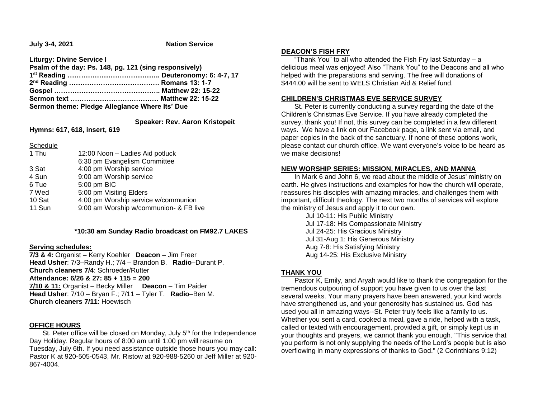**July 3-4, 2021** Nation Service

**Liturgy: Divine Service I**

| Psalm of the day: Ps. 148, pg. 121 (sing responsively) |  |
|--------------------------------------------------------|--|
|                                                        |  |
|                                                        |  |
|                                                        |  |
|                                                        |  |
| Sermon theme: Pledge Allegiance Where Its' Due         |  |

 **Speaker: Rev. Aaron Kristopeit**

**Hymns: 617, 618, insert, 619**

**Schedule** 

| 1 Thu  | 12:00 Noon - Ladies Aid potluck        |  |
|--------|----------------------------------------|--|
|        | 6:30 pm Evangelism Committee           |  |
| 3 Sat  | 4:00 pm Worship service                |  |
| 4 Sun  | 9:00 am Worship service                |  |
| 6 Tue  | 5:00 pm BIC                            |  |
| 7 Wed  | 5:00 pm Visiting Elders                |  |
| 10 Sat | 4:00 pm Worship service w/communion    |  |
| 11 Sun | 9:00 am Worship w/communion- & FB live |  |
|        |                                        |  |

## **\*10:30 am Sunday Radio broadcast on FM92.7 LAKES**

## **Serving schedules:**

**7/3 & 4:** Organist – Kerry Koehler **Deacon** – Jim Freer **Head Usher**: 7/3–Randy H.; 7/4 – Brandon B. **Radio**–Durant P. **Church cleaners 7/4**: Schroeder/Rutter **Attendance: 6/26 & 27: 85 + 115 = 200 7/10 & 11:** Organist – Becky Miller **Deacon** – Tim Paider **Head Usher**: 7/10 – Bryan F.; 7/11 – Tyler T. **Radio**–Ben M. **Church cleaners 7/11**: Hoewisch

## **OFFICE HOURS**

St. Peter office will be closed on Monday, July 5<sup>th</sup> for the Independence Day Holiday. Regular hours of 8:00 am until 1:00 pm will resume on Tuesday, July 6th. If you need assistance outside those hours you may call: Pastor K at 920-505-0543, Mr. Ristow at 920-988-5260 or Jeff Miller at 920- 867-4004.

## **DEACON'S FISH FRY**

 "Thank You" to all who attended the Fish Fry last Saturday – a delicious meal was enjoyed! Also "Thank You" to the Deacons and all who helped with the preparations and serving. The free will donations of \$444.00 will be sent to WELS Christian Aid & Relief fund.

## **CHILDREN'S CHRISTMAS EVE SERVICE SURVEY**

 St. Peter is currently conducting a survey regarding the date of the Children's Christmas Eve Service. If you have already completed the survey, thank you! If not, this survey can be completed in a few different ways. We have a link on our Facebook page, a link sent via email, and paper copies in the back of the sanctuary. If none of these options work, please contact our church office. We want everyone's voice to be heard as we make decisions!

## **NEW WORSHIP SERIES: MISSION, MIRACLES, AND MANNA**

 In Mark 6 and John 6, we read about the middle of Jesus' ministry on earth. He gives instructions and examples for how the church will operate, reassures his disciples with amazing miracles, and challenges them with important, difficult theology. The next two months of services will explore the ministry of Jesus and apply it to our own.

> Jul 10-11: His Public Ministry Jul 17-18: His Compassionate Ministry Jul 24-25: His Gracious Ministry Jul 31-Aug 1: His Generous Ministry Aug 7-8: His Satisfying Ministry Aug 14-25: His Exclusive Ministry

# **THANK YOU**

 Pastor K, Emily, and Aryah would like to thank the congregation for the tremendous outpouring of support you have given to us over the last several weeks. Your many prayers have been answered, your kind words have strengthened us, and your generosity has sustained us. God has used you all in amazing ways--St. Peter truly feels like a family to us. Whether you sent a card, cooked a meal, gave a ride, helped with a task, called or texted with encouragement, provided a gift, or simply kept us in your thoughts and prayers, we cannot thank you enough. "This service that you perform is not only supplying the needs of the Lord's people but is also overflowing in many expressions of thanks to God." (2 Corinthians 9:12)